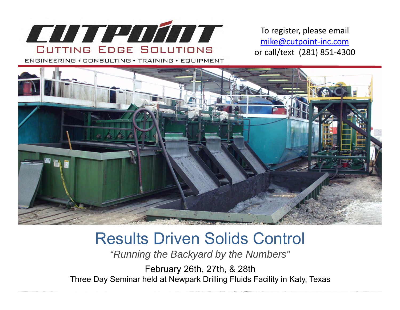

To register, please email mike@cutpoint‐inc.com or call/text (281) 851‐4300

ENGINEERING · CONSULTING · TRAINING · EQUIPMENT



## Results Driven Solids Control

*"Running the Backyard by the Numbers"*

February 26th, 27th, & 28th Three Day Seminar held at Newpark Drilling Fluids Facility in Katy, Texas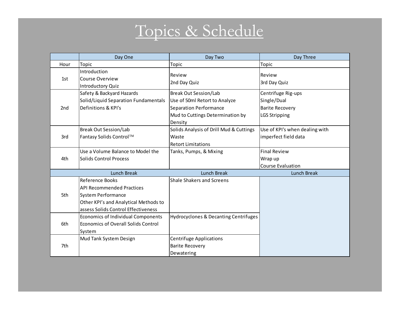## Topics & Schedule

|      | Day One                                                                                                                                                          | Day Two                                                                                                                                       | Day Three                                                                           |
|------|------------------------------------------------------------------------------------------------------------------------------------------------------------------|-----------------------------------------------------------------------------------------------------------------------------------------------|-------------------------------------------------------------------------------------|
| Hour | Topic                                                                                                                                                            | Topic                                                                                                                                         | Topic                                                                               |
| 1st  | Introduction<br>Course Overview<br><b>Introductory Quiz</b>                                                                                                      | Review<br>2nd Day Quiz                                                                                                                        | Review<br>3rd Day Quiz                                                              |
| 2nd  | Safety & Backyard Hazards<br>Solid/Liquid Separation Fundamentals<br>Definitions & KPI's                                                                         | <b>Break Out Session/Lab</b><br>Use of 50ml Retort to Analyze<br><b>Separation Performance</b><br>Mud to Cuttings Determination by<br>Density | Centrifuge Rig-ups<br>Single/Dual<br><b>Barite Recovery</b><br><b>LGS Stripping</b> |
| 3rd  | <b>Break Out Session/Lab</b><br>Fantasy Solids Control™                                                                                                          | Solids Analysis of Drill Mud & Cuttings<br>Waste<br><b>Retort Limitations</b>                                                                 | Use of KPI's when dealing with<br>imperfect field data                              |
| 4th  | Use a Volume Balance to Model the<br><b>Solids Control Process</b>                                                                                               | Tanks, Pumps, & Mixing                                                                                                                        | <b>Final Review</b><br>Wrap up<br><b>Course Evaluation</b>                          |
|      | <b>Lunch Break</b>                                                                                                                                               | Lunch Break                                                                                                                                   | Lunch Break                                                                         |
| 5th  | Reference Books<br><b>API Recommended Practices</b><br><b>System Performance</b><br>Other KPI's and Analytical Methods to<br>assess Solids Control Effectiveness | <b>Shale Shakers and Screens</b>                                                                                                              |                                                                                     |
| 6th  | Economics of Individual Components<br>Economics of Overall Solids Control<br>System                                                                              | <b>Hydrocyclones &amp; Decanting Centrifuges</b>                                                                                              |                                                                                     |
| 7th  | Mud Tank System Design                                                                                                                                           | <b>Centrifuge Applications</b><br><b>Barite Recovery</b><br>Dewatering                                                                        |                                                                                     |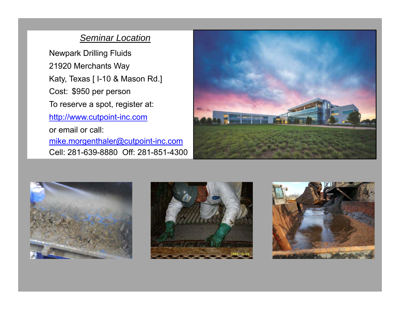## *Seminar Location*

Newpark Drilling Fluids 21920 Merchants Way Katy, Texas [ I-10 & Mason Rd.] Cost: \$950 per person To reserve a spot, register at: http://www.cutpoint-inc.com or email or call: mike.morgenthaler@cutpoint-inc.com

Cell: 281-639-8880 Off: 281-851-4300